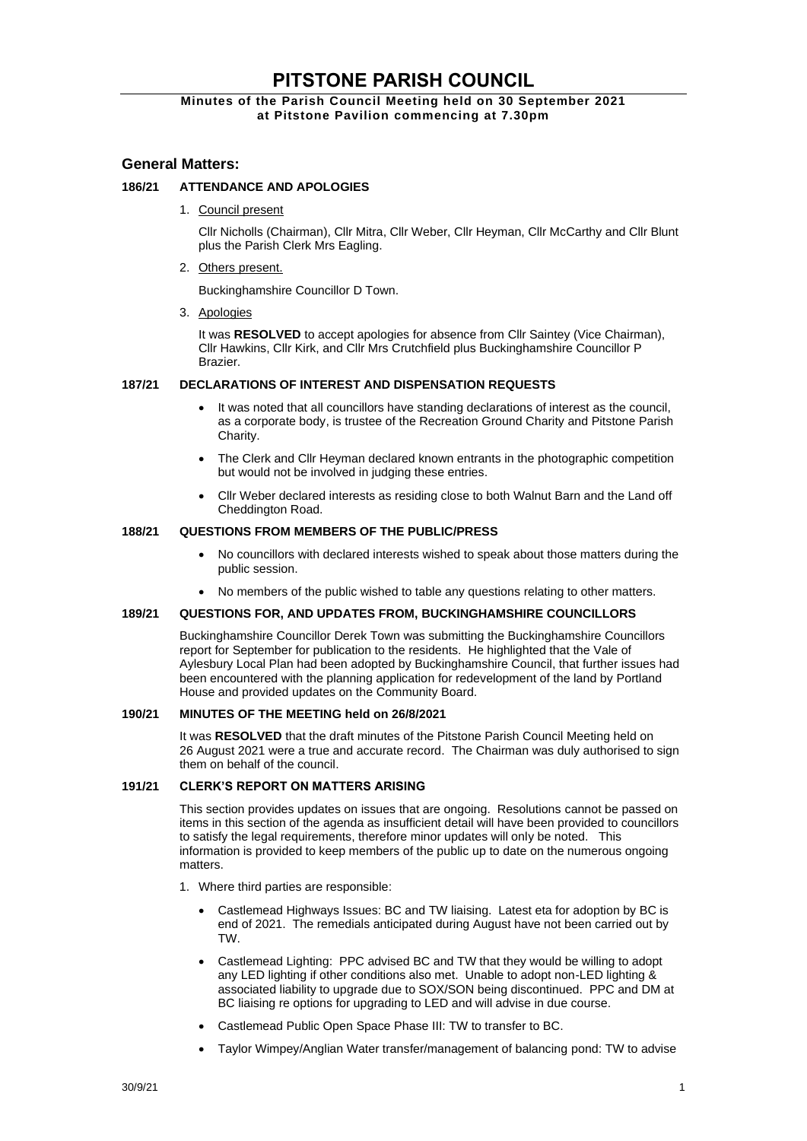# **PITSTONE PARISH COUNCIL**

# **Minutes of the Parish Council Meeting held on 30 September 2021 at Pitstone Pavilion commencing at 7.30pm**

# **General Matters:**

# **186/21 ATTENDANCE AND APOLOGIES**

1. Council present

Cllr Nicholls (Chairman), Cllr Mitra, Cllr Weber, Cllr Heyman, Cllr McCarthy and Cllr Blunt plus the Parish Clerk Mrs Eagling.

2. Others present.

Buckinghamshire Councillor D Town.

3. Apologies

It was **RESOLVED** to accept apologies for absence from Cllr Saintey (Vice Chairman), Cllr Hawkins, Cllr Kirk, and Cllr Mrs Crutchfield plus Buckinghamshire Councillor P **Brazier** 

## **187/21 DECLARATIONS OF INTEREST AND DISPENSATION REQUESTS**

- It was noted that all councillors have standing declarations of interest as the council, as a corporate body, is trustee of the Recreation Ground Charity and Pitstone Parish Charity.
- The Clerk and Cllr Heyman declared known entrants in the photographic competition but would not be involved in judging these entries.
- Cllr Weber declared interests as residing close to both Walnut Barn and the Land off Cheddington Road.

## **188/21 QUESTIONS FROM MEMBERS OF THE PUBLIC/PRESS**

- No councillors with declared interests wished to speak about those matters during the public session.
- No members of the public wished to table any questions relating to other matters.

## **189/21 QUESTIONS FOR, AND UPDATES FROM, BUCKINGHAMSHIRE COUNCILLORS**

Buckinghamshire Councillor Derek Town was submitting the Buckinghamshire Councillors report for September for publication to the residents. He highlighted that the Vale of Aylesbury Local Plan had been adopted by Buckinghamshire Council, that further issues had been encountered with the planning application for redevelopment of the land by Portland House and provided updates on the Community Board.

## **190/21 MINUTES OF THE MEETING held on 26/8/2021**

It was RESOLVED that the draft minutes of the Pitstone Parish Council Meeting held on 26 August 2021 were a true and accurate record. The Chairman was duly authorised to sign them on behalf of the council.

## **191/21 CLERK'S REPORT ON MATTERS ARISING**

This section provides updates on issues that are ongoing. Resolutions cannot be passed on items in this section of the agenda as insufficient detail will have been provided to councillors to satisfy the legal requirements, therefore minor updates will only be noted. This information is provided to keep members of the public up to date on the numerous ongoing matters.

- 1. Where third parties are responsible:
	- Castlemead Highways Issues: BC and TW liaising. Latest eta for adoption by BC is end of 2021. The remedials anticipated during August have not been carried out by TW.
	- Castlemead Lighting: PPC advised BC and TW that they would be willing to adopt any LED lighting if other conditions also met. Unable to adopt non-LED lighting & associated liability to upgrade due to SOX/SON being discontinued. PPC and DM at BC liaising re options for upgrading to LED and will advise in due course.
	- Castlemead Public Open Space Phase III: TW to transfer to BC.
	- Taylor Wimpey/Anglian Water transfer/management of balancing pond: TW to advise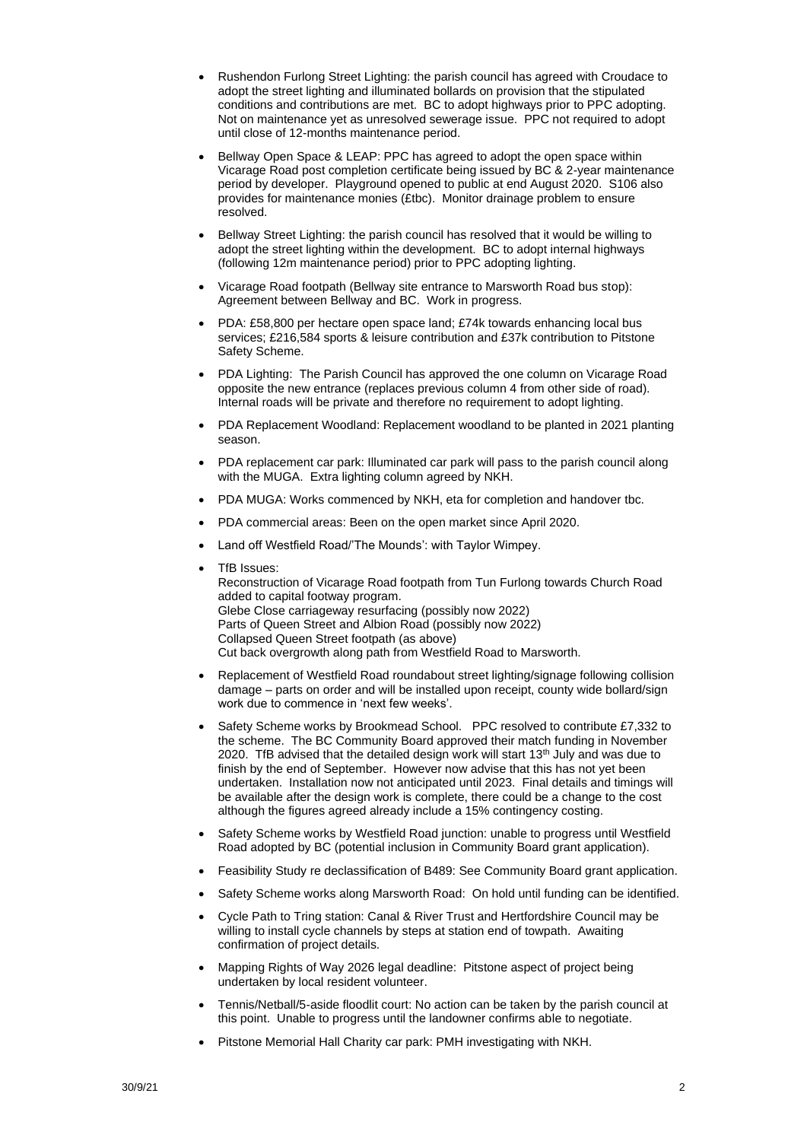- Rushendon Furlong Street Lighting: the parish council has agreed with Croudace to adopt the street lighting and illuminated bollards on provision that the stipulated conditions and contributions are met. BC to adopt highways prior to PPC adopting. Not on maintenance yet as unresolved sewerage issue. PPC not required to adopt until close of 12-months maintenance period.
- Bellway Open Space & LEAP: PPC has agreed to adopt the open space within Vicarage Road post completion certificate being issued by BC & 2-year maintenance period by developer. Playground opened to public at end August 2020. S106 also provides for maintenance monies (£tbc). Monitor drainage problem to ensure resolved.
- Bellway Street Lighting: the parish council has resolved that it would be willing to adopt the street lighting within the development. BC to adopt internal highways (following 12m maintenance period) prior to PPC adopting lighting.
- Vicarage Road footpath (Bellway site entrance to Marsworth Road bus stop): Agreement between Bellway and BC. Work in progress.
- PDA: £58,800 per hectare open space land; £74k towards enhancing local bus services; £216,584 sports & leisure contribution and £37k contribution to Pitstone Safety Scheme.
- PDA Lighting: The Parish Council has approved the one column on Vicarage Road opposite the new entrance (replaces previous column 4 from other side of road). Internal roads will be private and therefore no requirement to adopt lighting.
- PDA Replacement Woodland: Replacement woodland to be planted in 2021 planting season.
- PDA replacement car park: Illuminated car park will pass to the parish council along with the MUGA. Extra lighting column agreed by NKH.
- PDA MUGA: Works commenced by NKH, eta for completion and handover tbc.
- PDA commercial areas: Been on the open market since April 2020.
- Land off Westfield Road/'The Mounds': with Taylor Wimpey.
- TfB Issues: Reconstruction of Vicarage Road footpath from Tun Furlong towards Church Road added to capital footway program. Glebe Close carriageway resurfacing (possibly now 2022) Parts of Queen Street and Albion Road (possibly now 2022) Collapsed Queen Street footpath (as above) Cut back overgrowth along path from Westfield Road to Marsworth.
- Replacement of Westfield Road roundabout street lighting/signage following collision damage – parts on order and will be installed upon receipt, county wide bollard/sign work due to commence in 'next few weeks'.
- Safety Scheme works by Brookmead School. PPC resolved to contribute £7,332 to the scheme. The BC Community Board approved their match funding in November 2020. TfB advised that the detailed design work will start  $13<sup>th</sup>$  July and was due to finish by the end of September. However now advise that this has not yet been undertaken. Installation now not anticipated until 2023. Final details and timings will be available after the design work is complete, there could be a change to the cost although the figures agreed already include a 15% contingency costing.
- Safety Scheme works by Westfield Road junction: unable to progress until Westfield Road adopted by BC (potential inclusion in Community Board grant application).
- Feasibility Study re declassification of B489: See Community Board grant application.
- Safety Scheme works along Marsworth Road: On hold until funding can be identified.
- Cycle Path to Tring station: Canal & River Trust and Hertfordshire Council may be willing to install cycle channels by steps at station end of towpath. Awaiting confirmation of project details.
- Mapping Rights of Way 2026 legal deadline: Pitstone aspect of project being undertaken by local resident volunteer.
- Tennis/Netball/5-aside floodlit court: No action can be taken by the parish council at this point. Unable to progress until the landowner confirms able to negotiate.
- Pitstone Memorial Hall Charity car park: PMH investigating with NKH.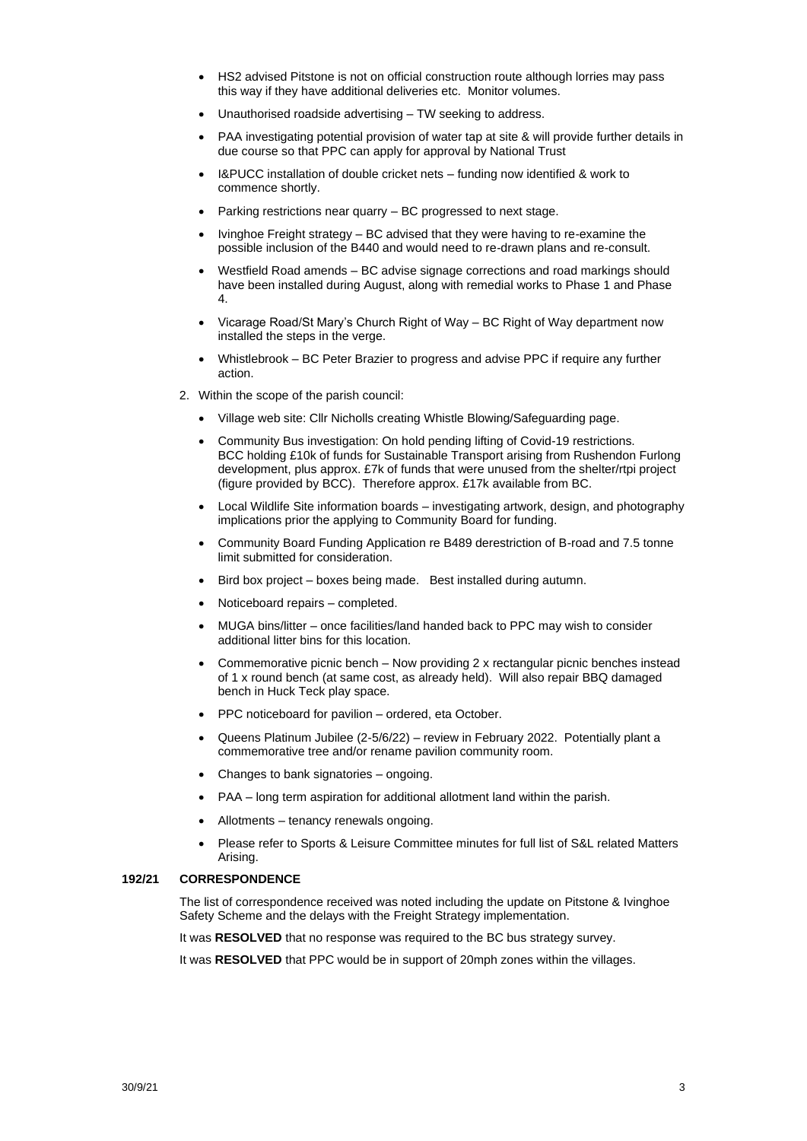- HS2 advised Pitstone is not on official construction route although lorries may pass this way if they have additional deliveries etc. Monitor volumes.
- Unauthorised roadside advertising TW seeking to address.
- PAA investigating potential provision of water tap at site & will provide further details in due course so that PPC can apply for approval by National Trust
- I&PUCC installation of double cricket nets funding now identified & work to commence shortly.
- Parking restrictions near quarry BC progressed to next stage.
- Ivinghoe Freight strategy BC advised that they were having to re-examine the possible inclusion of the B440 and would need to re-drawn plans and re-consult.
- Westfield Road amends BC advise signage corrections and road markings should have been installed during August, along with remedial works to Phase 1 and Phase 4.
- Vicarage Road/St Mary's Church Right of Way BC Right of Way department now installed the steps in the verge.
- Whistlebrook BC Peter Brazier to progress and advise PPC if require any further action.
- 2. Within the scope of the parish council:
	- Village web site: Cllr Nicholls creating Whistle Blowing/Safeguarding page.
	- Community Bus investigation: On hold pending lifting of Covid-19 restrictions. BCC holding £10k of funds for Sustainable Transport arising from Rushendon Furlong development, plus approx. £7k of funds that were unused from the shelter/rtpi project (figure provided by BCC). Therefore approx. £17k available from BC.
	- Local Wildlife Site information boards investigating artwork, design, and photography implications prior the applying to Community Board for funding.
	- Community Board Funding Application re B489 derestriction of B-road and 7.5 tonne limit submitted for consideration.
	- Bird box project boxes being made. Best installed during autumn.
	- Noticeboard repairs completed.
	- MUGA bins/litter once facilities/land handed back to PPC may wish to consider additional litter bins for this location.
	- Commemorative picnic bench Now providing 2 x rectangular picnic benches instead of 1 x round bench (at same cost, as already held). Will also repair BBQ damaged bench in Huck Teck play space.
	- PPC noticeboard for pavilion ordered, eta October.
	- Queens Platinum Jubilee (2-5/6/22) review in February 2022. Potentially plant a commemorative tree and/or rename pavilion community room.
	- Changes to bank signatories ongoing.
	- PAA long term aspiration for additional allotment land within the parish.
	- Allotments tenancy renewals ongoing.
	- Please refer to Sports & Leisure Committee minutes for full list of S&L related Matters Arising.

#### **192/21 CORRESPONDENCE**

The list of correspondence received was noted including the update on Pitstone & Ivinghoe Safety Scheme and the delays with the Freight Strategy implementation.

It was **RESOLVED** that no response was required to the BC bus strategy survey.

It was RESOLVED that PPC would be in support of 20mph zones within the villages.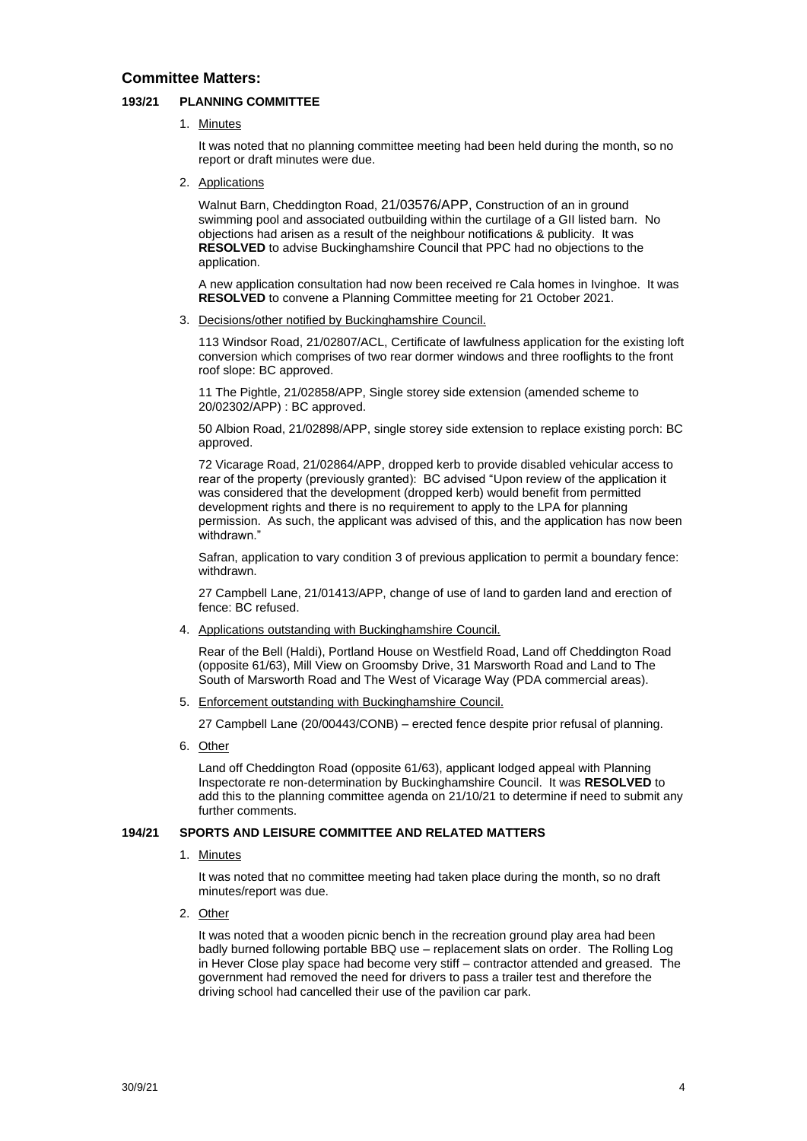# **Committee Matters:**

## **193/21 PLANNING COMMITTEE**

1. Minutes

It was noted that no planning committee meeting had been held during the month, so no report or draft minutes were due.

2. Applications

Walnut Barn, Cheddington Road, 21/03576/APP, [Construction of an in ground](https://publicaccess.aylesburyvaledc.gov.uk/online-applications/applicationDetails.do?activeTab=summary&keyVal=QZ6788CLGAD00&prevPage=inTray)  [swimming pool and associated outbuilding within the curtilage of a GII listed barn.](https://publicaccess.aylesburyvaledc.gov.uk/online-applications/applicationDetails.do?activeTab=summary&keyVal=QZ6788CLGAD00&prevPage=inTray) No objections had arisen as a result of the neighbour notifications & publicity. It was **RESOLVED** to advise Buckinghamshire Council that PPC had no objections to the application.

A new application consultation had now been received re Cala homes in Ivinghoe. It was **RESOLVED** to convene a Planning Committee meeting for 21 October 2021.

3. Decisions/other notified by Buckinghamshire Council.

113 Windsor Road, 21/02807/ACL, Certificate of lawfulness application for the existing loft conversion which comprises of two rear dormer windows and three rooflights to the front roof slope: BC approved.

11 The Pightle, 21/02858/APP, Single storey side extension (amended scheme to 20/02302/APP) : BC approved.

50 Albion Road, 21/02898/APP, single storey side extension to replace existing porch: BC approved.

72 Vicarage Road, 21/02864/APP, dropped kerb to provide disabled vehicular access to rear of the property (previously granted): BC advised "Upon review of the application it was considered that the development (dropped kerb) would benefit from permitted development rights and there is no requirement to apply to the LPA for planning permission. As such, the applicant was advised of this, and the application has now been withdrawn."

Safran, application to vary condition 3 of previous application to permit a boundary fence: withdrawn.

27 Campbell Lane, 21/01413/APP, change of use of land to garden land and erection of fence: BC refused.

4. Applications outstanding with Buckinghamshire Council.

Rear of the Bell (Haldi), Portland House on Westfield Road, Land off Cheddington Road (opposite 61/63), Mill View on Groomsby Drive, 31 Marsworth Road and Land to The South of Marsworth Road and The West of Vicarage Way (PDA commercial areas).

5. Enforcement outstanding with Buckinghamshire Council.

27 Campbell Lane (20/00443/CONB) – erected fence despite prior refusal of planning.

6. Other

Land off Cheddington Road (opposite 61/63), applicant lodged appeal with Planning Inspectorate re non-determination by Buckinghamshire Council. It was **RESOLVED** to add this to the planning committee agenda on 21/10/21 to determine if need to submit any further comments.

## **194/21 SPORTS AND LEISURE COMMITTEE AND RELATED MATTERS**

1. Minutes

It was noted that no committee meeting had taken place during the month, so no draft minutes/report was due.

2. Other

It was noted that a wooden picnic bench in the recreation ground play area had been badly burned following portable BBQ use – replacement slats on order. The Rolling Log in Hever Close play space had become very stiff – contractor attended and greased. The government had removed the need for drivers to pass a trailer test and therefore the driving school had cancelled their use of the pavilion car park.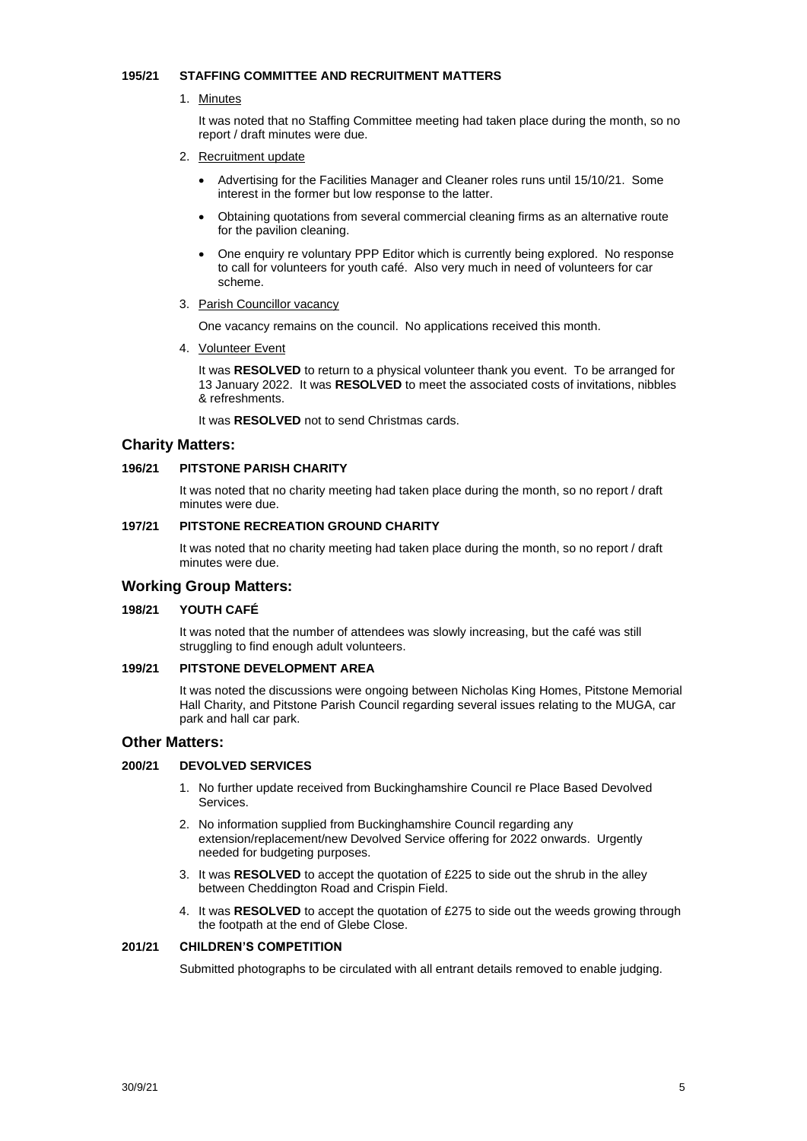#### **195/21 STAFFING COMMITTEE AND RECRUITMENT MATTERS**

1. Minutes

It was noted that no Staffing Committee meeting had taken place during the month, so no report / draft minutes were due.

- 2. Recruitment update
	- Advertising for the Facilities Manager and Cleaner roles runs until 15/10/21. Some interest in the former but low response to the latter.
	- Obtaining quotations from several commercial cleaning firms as an alternative route for the pavilion cleaning.
	- One enquiry re voluntary PPP Editor which is currently being explored. No response to call for volunteers for youth café. Also very much in need of volunteers for car scheme.
- 3. Parish Councillor vacancy

One vacancy remains on the council. No applications received this month.

4. Volunteer Event

It was **RESOLVED** to return to a physical volunteer thank you event. To be arranged for 13 January 2022. It was **RESOLVED** to meet the associated costs of invitations, nibbles & refreshments.

It was **RESOLVED** not to send Christmas cards.

# **Charity Matters:**

## **196/21 PITSTONE PARISH CHARITY**

It was noted that no charity meeting had taken place during the month, so no report / draft minutes were due.

# **197/21 PITSTONE RECREATION GROUND CHARITY**

It was noted that no charity meeting had taken place during the month, so no report / draft minutes were due.

# **Working Group Matters:**

## **198/21 YOUTH CAFÉ**

It was noted that the number of attendees was slowly increasing, but the café was still struggling to find enough adult volunteers.

#### **199/21 PITSTONE DEVELOPMENT AREA**

It was noted the discussions were ongoing between Nicholas King Homes, Pitstone Memorial Hall Charity, and Pitstone Parish Council regarding several issues relating to the MUGA, car park and hall car park.

## **Other Matters:**

## **200/21 DEVOLVED SERVICES**

- 1. No further update received from Buckinghamshire Council re Place Based Devolved Services.
- 2. No information supplied from Buckinghamshire Council regarding any extension/replacement/new Devolved Service offering for 2022 onwards. Urgently needed for budgeting purposes.
- 3. It was **RESOLVED** to accept the quotation of £225 to side out the shrub in the alley between Cheddington Road and Crispin Field.
- 4. It was **RESOLVED** to accept the quotation of £275 to side out the weeds growing through the footpath at the end of Glebe Close.

#### **201/21 CHILDREN'S COMPETITION**

Submitted photographs to be circulated with all entrant details removed to enable judging.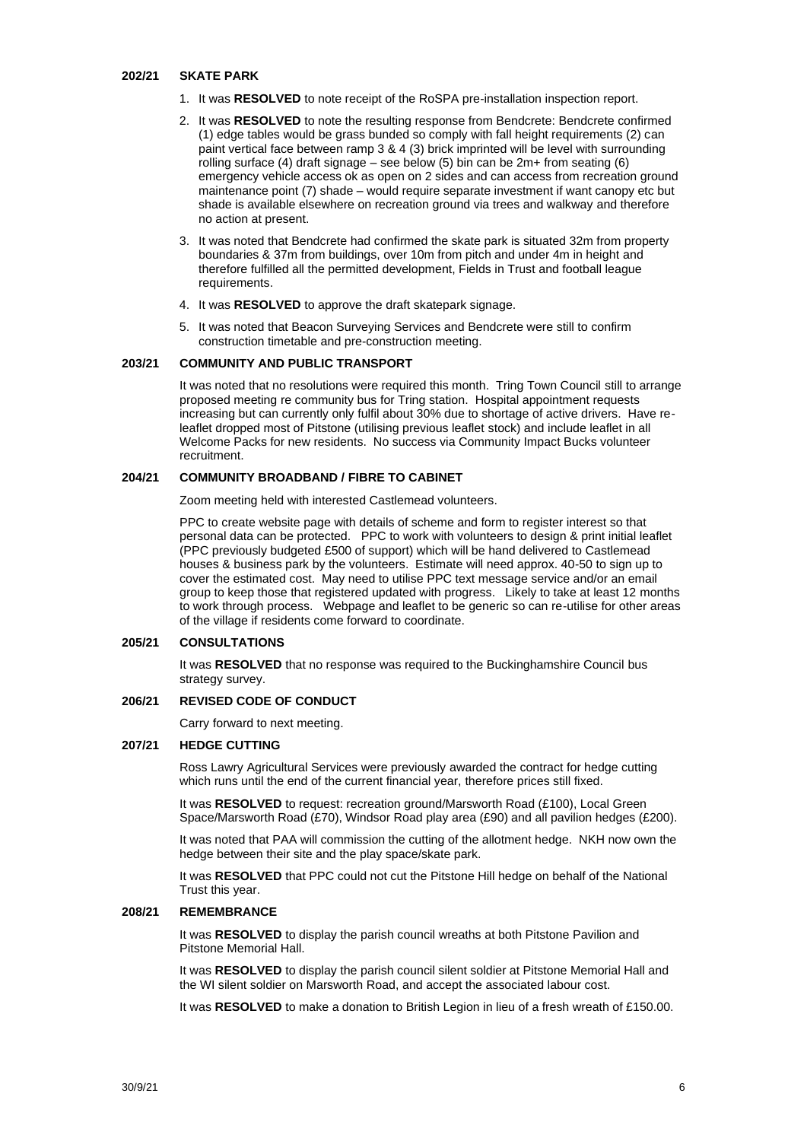#### **202/21 SKATE PARK**

- 1. It was **RESOLVED** to note receipt of the RoSPA pre-installation inspection report.
- 2. It was **RESOLVED** to note the resulting response from Bendcrete: Bendcrete confirmed (1) edge tables would be grass bunded so comply with fall height requirements (2) can paint vertical face between ramp 3 & 4 (3) brick imprinted will be level with surrounding rolling surface (4) draft signage – see below (5) bin can be  $2m+$  from seating (6) emergency vehicle access ok as open on 2 sides and can access from recreation ground maintenance point (7) shade – would require separate investment if want canopy etc but shade is available elsewhere on recreation ground via trees and walkway and therefore no action at present.
- 3. It was noted that Bendcrete had confirmed the skate park is situated 32m from property boundaries & 37m from buildings, over 10m from pitch and under 4m in height and therefore fulfilled all the permitted development, Fields in Trust and football league requirements.
- 4. It was **RESOLVED** to approve the draft skatepark signage.
- 5. It was noted that Beacon Surveying Services and Bendcrete were still to confirm construction timetable and pre-construction meeting.

## **203/21 COMMUNITY AND PUBLIC TRANSPORT**

It was noted that no resolutions were required this month. Tring Town Council still to arrange proposed meeting re community bus for Tring station. Hospital appointment requests increasing but can currently only fulfil about 30% due to shortage of active drivers. Have releaflet dropped most of Pitstone (utilising previous leaflet stock) and include leaflet in all Welcome Packs for new residents. No success via Community Impact Bucks volunteer recruitment.

## **204/21 COMMUNITY BROADBAND / FIBRE TO CABINET**

Zoom meeting held with interested Castlemead volunteers.

PPC to create website page with details of scheme and form to register interest so that personal data can be protected. PPC to work with volunteers to design & print initial leaflet (PPC previously budgeted £500 of support) which will be hand delivered to Castlemead houses & business park by the volunteers. Estimate will need approx. 40-50 to sign up to cover the estimated cost. May need to utilise PPC text message service and/or an email group to keep those that registered updated with progress. Likely to take at least 12 months to work through process. Webpage and leaflet to be generic so can re-utilise for other areas of the village if residents come forward to coordinate.

#### **205/21 CONSULTATIONS**

It was **RESOLVED** that no response was required to the Buckinghamshire Council bus strategy survey.

#### **206/21 REVISED CODE OF CONDUCT**

Carry forward to next meeting.

#### **207/21 HEDGE CUTTING**

Ross Lawry Agricultural Services were previously awarded the contract for hedge cutting which runs until the end of the current financial year, therefore prices still fixed.

It was **RESOLVED** to request: recreation ground/Marsworth Road (£100), Local Green Space/Marsworth Road (£70), Windsor Road play area (£90) and all pavilion hedges (£200).

It was noted that PAA will commission the cutting of the allotment hedge. NKH now own the hedge between their site and the play space/skate park.

It was **RESOLVED** that PPC could not cut the Pitstone Hill hedge on behalf of the National Trust this year.

#### **208/21 REMEMBRANCE**

It was **RESOLVED** to display the parish council wreaths at both Pitstone Pavilion and Pitstone Memorial Hall.

It was **RESOLVED** to display the parish council silent soldier at Pitstone Memorial Hall and the WI silent soldier on Marsworth Road, and accept the associated labour cost.

It was RESOLVED to make a donation to British Legion in lieu of a fresh wreath of £150.00.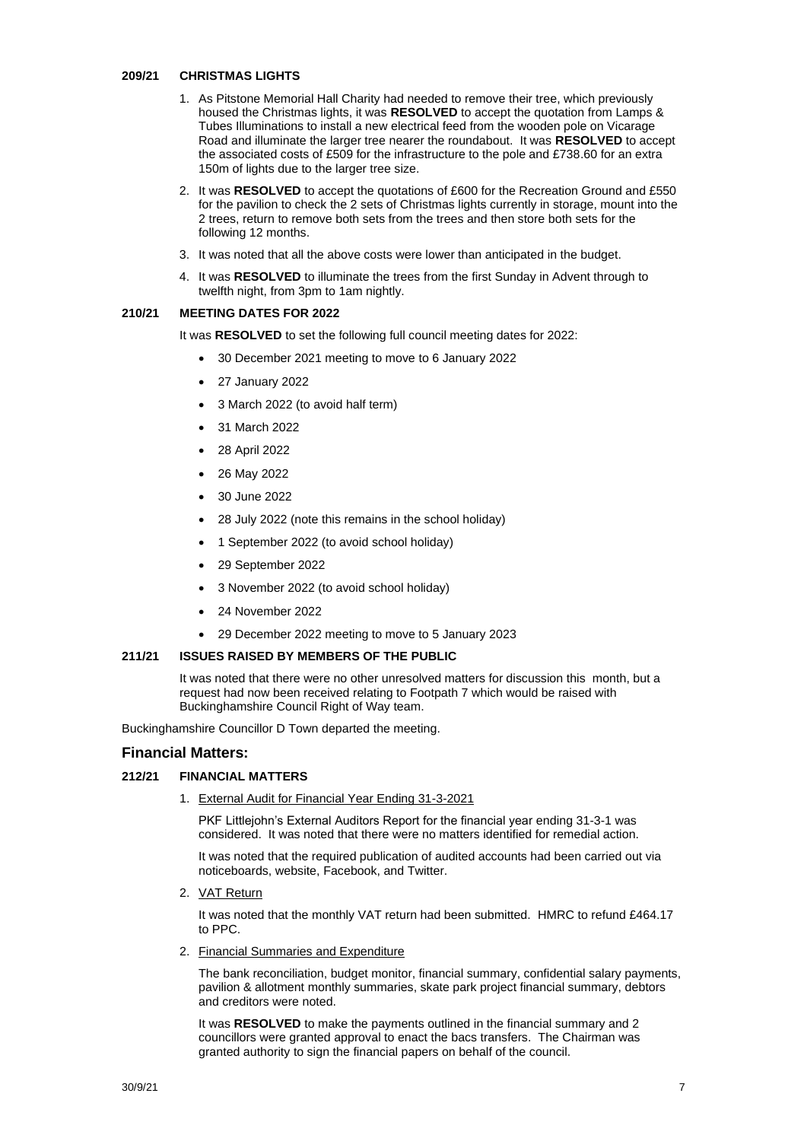#### **209/21 CHRISTMAS LIGHTS**

- 1. As Pitstone Memorial Hall Charity had needed to remove their tree, which previously housed the Christmas lights, it was **RESOLVED** to accept the quotation from Lamps & Tubes Illuminations to install a new electrical feed from the wooden pole on Vicarage Road and illuminate the larger tree nearer the roundabout. It was **RESOLVED** to accept the associated costs of £509 for the infrastructure to the pole and £738.60 for an extra 150m of lights due to the larger tree size.
- 2. It was **RESOLVED** to accept the quotations of £600 for the Recreation Ground and £550 for the pavilion to check the 2 sets of Christmas lights currently in storage, mount into the 2 trees, return to remove both sets from the trees and then store both sets for the following 12 months.
- 3. It was noted that all the above costs were lower than anticipated in the budget.
- 4. It was **RESOLVED** to illuminate the trees from the first Sunday in Advent through to twelfth night, from 3pm to 1am nightly.

## **210/21 MEETING DATES FOR 2022**

It was **RESOLVED** to set the following full council meeting dates for 2022:

- 30 December 2021 meeting to move to 6 January 2022
- 27 January 2022
- 3 March 2022 (to avoid half term)
- 31 March 2022
- 28 April 2022
- 26 May 2022
- 30 June 2022
- 28 July 2022 (note this remains in the school holiday)
- 1 September 2022 (to avoid school holiday)
- 29 September 2022
- 3 November 2022 (to avoid school holiday)
- 24 November 2022
- 29 December 2022 meeting to move to 5 January 2023

#### **211/21 ISSUES RAISED BY MEMBERS OF THE PUBLIC**

It was noted that there were no other unresolved matters for discussion this month, but a request had now been received relating to Footpath 7 which would be raised with Buckinghamshire Council Right of Way team.

Buckinghamshire Councillor D Town departed the meeting.

## **Financial Matters:**

#### **212/21 FINANCIAL MATTERS**

1. External Audit for Financial Year Ending 31-3-2021

PKF Littlejohn's External Auditors Report for the financial year ending 31-3-1 was considered. It was noted that there were no matters identified for remedial action.

It was noted that the required publication of audited accounts had been carried out via noticeboards, website, Facebook, and Twitter.

2. VAT Return

It was noted that the monthly VAT return had been submitted. HMRC to refund £464.17 to PPC.

2. Financial Summaries and Expenditure

The bank reconciliation, budget monitor, financial summary, confidential salary payments, pavilion & allotment monthly summaries, skate park project financial summary, debtors and creditors were noted.

It was **RESOLVED** to make the payments outlined in the financial summary and 2 councillors were granted approval to enact the bacs transfers. The Chairman was granted authority to sign the financial papers on behalf of the council.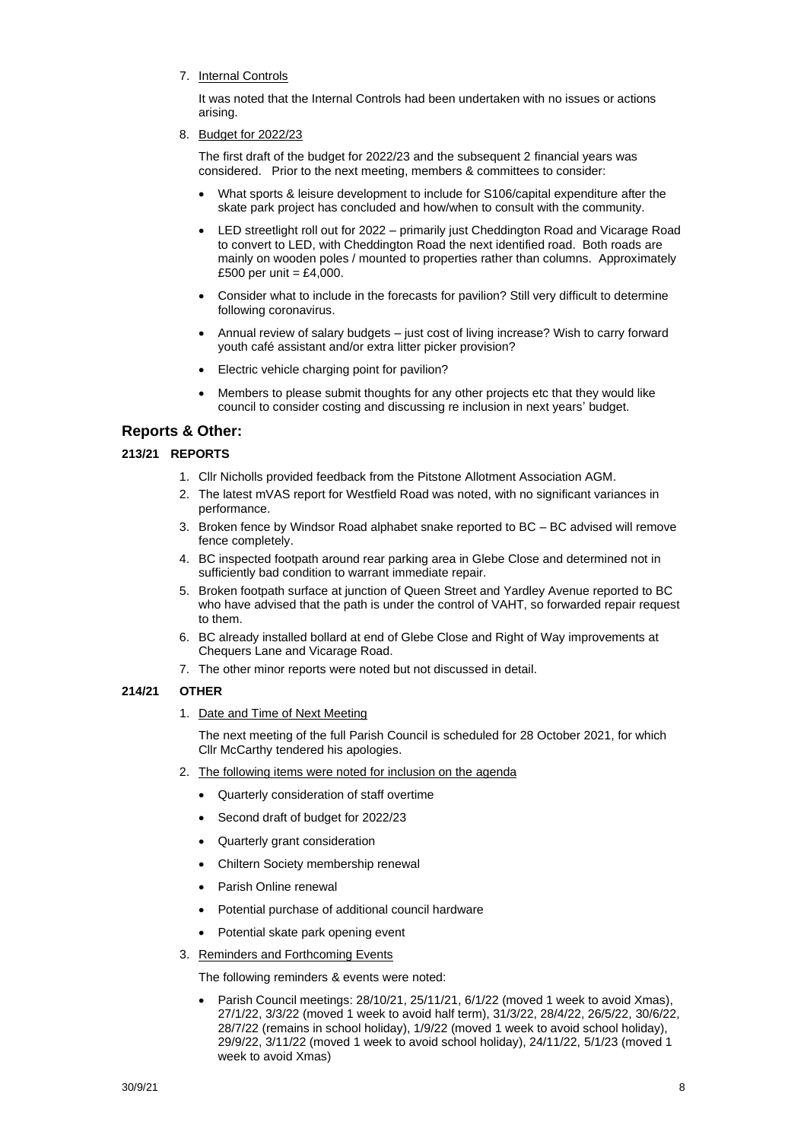7. Internal Controls

It was noted that the Internal Controls had been undertaken with no issues or actions arising.

8. Budget for 2022/23

The first draft of the budget for 2022/23 and the subsequent 2 financial years was considered. Prior to the next meeting, members & committees to consider:

- What sports & leisure development to include for S106/capital expenditure after the skate park project has concluded and how/when to consult with the community.
- LED streetlight roll out for 2022 primarily just Cheddington Road and Vicarage Road to convert to LED, with Cheddington Road the next identified road. Both roads are mainly on wooden poles / mounted to properties rather than columns. Approximately £500 per unit =  $£4,000$ .
- Consider what to include in the forecasts for pavilion? Still very difficult to determine following coronavirus.
- Annual review of salary budgets just cost of living increase? Wish to carry forward youth café assistant and/or extra litter picker provision?
- Electric vehicle charging point for pavilion?
- Members to please submit thoughts for any other projects etc that they would like council to consider costing and discussing re inclusion in next years' budget.

# **Reports & Other:**

# **213/21 REPORTS**

- 1. Cllr Nicholls provided feedback from the Pitstone Allotment Association AGM.
- 2. The latest mVAS report for Westfield Road was noted, with no significant variances in performance.
- 3. Broken fence by Windsor Road alphabet snake reported to BC BC advised will remove fence completely.
- 4. BC inspected footpath around rear parking area in Glebe Close and determined not in sufficiently bad condition to warrant immediate repair.
- 5. Broken footpath surface at junction of Queen Street and Yardley Avenue reported to BC who have advised that the path is under the control of VAHT, so forwarded repair request to them.
- 6. BC already installed bollard at end of Glebe Close and Right of Way improvements at Chequers Lane and Vicarage Road.
- 7. The other minor reports were noted but not discussed in detail.

# **214/21 OTHER**

1. Date and Time of Next Meeting

The next meeting of the full Parish Council is scheduled for 28 October 2021, for which Cllr McCarthy tendered his apologies.

- 2. The following items were noted for inclusion on the agenda
	- Quarterly consideration of staff overtime
	- Second draft of budget for 2022/23
	- Quarterly grant consideration
	- Chiltern Society membership renewal
	- Parish Online renewal
	- Potential purchase of additional council hardware
	- Potential skate park opening event
- 3. Reminders and Forthcoming Events

The following reminders & events were noted:

• Parish Council meetings: 28/10/21, 25/11/21, 6/1/22 (moved 1 week to avoid Xmas), 27/1/22, 3/3/22 (moved 1 week to avoid half term), 31/3/22, 28/4/22, 26/5/22, 30/6/22, 28/7/22 (remains in school holiday), 1/9/22 (moved 1 week to avoid school holiday), 29/9/22, 3/11/22 (moved 1 week to avoid school holiday), 24/11/22, 5/1/23 (moved 1 week to avoid Xmas)